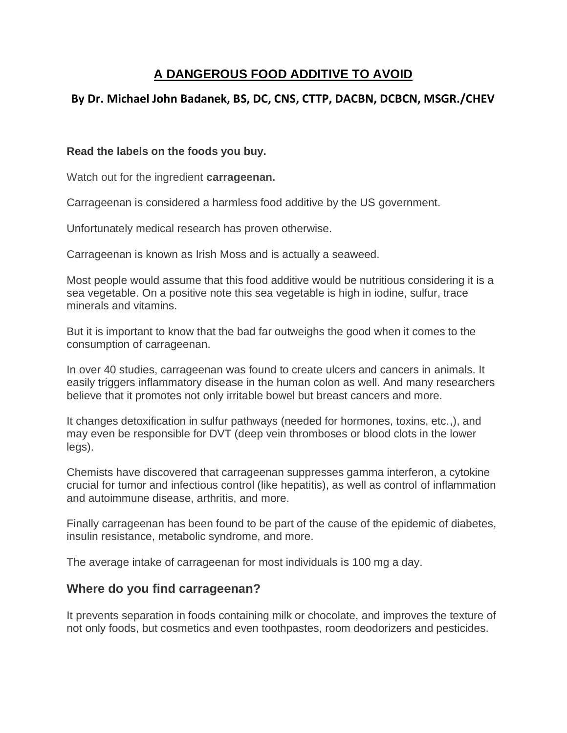## **A DANGEROUS FOOD ADDITIVE TO AVOID**

## **By Dr. Michael John Badanek, BS, DC, CNS, CTTP, DACBN, DCBCN, MSGR./CHEV**

## **Read the labels on the foods you buy.**

Watch out for the ingredient **carrageenan.**

Carrageenan is considered a harmless food additive by the US government.

Unfortunately medical research has proven otherwise.

Carrageenan is known as Irish Moss and is actually a seaweed.

Most people would assume that this food additive would be nutritious considering it is a sea vegetable. On a positive note this sea vegetable is high in iodine, sulfur, trace minerals and vitamins.

But it is important to know that the bad far outweighs the good when it comes to the consumption of carrageenan.

In over 40 studies, carrageenan was found to create ulcers and cancers in animals. It easily triggers inflammatory disease in the human colon as well. And many researchers believe that it promotes not only irritable bowel but breast cancers and more.

It changes detoxification in sulfur pathways (needed for hormones, toxins, etc.,), and may even be responsible for DVT (deep vein thromboses or blood clots in the lower legs).

Chemists have discovered that carrageenan suppresses gamma interferon, a cytokine crucial for tumor and infectious control (like hepatitis), as well as control of inflammation and autoimmune disease, arthritis, and more.

Finally carrageenan has been found to be part of the cause of the epidemic of diabetes, insulin resistance, metabolic syndrome, and more.

The average intake of carrageenan for most individuals is 100 mg a day.

## **Where do you find carrageenan?**

It prevents separation in foods containing milk or chocolate, and improves the texture of not only foods, but cosmetics and even toothpastes, room deodorizers and pesticides.